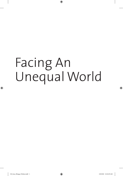# **Facing An** Unequal World

⊕

⊕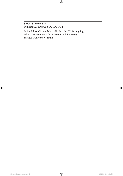## $\bigoplus$

### **SAGE STUDIES IN INTERNATIONAL SOCIOLOGY**

Series Editor Chaime Marcuello Servós (2016– ongoing) Editor, Departament of Psychology and Sociology, Zaragoza University, Spain

 $\bigoplus$ 

 $\bigoplus$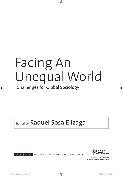# **Facing An** Unequal World

 $\bigcirc$ 

**Challenges for Global Sociology** 

Edited by Raquel Sosa Elízaga

SSIS SERIES SAGE STUDIES IN INTERNATIONAL SOCIOLOGY: 64

Los Angeles | London | New Delhi<br>Singapore | Washington DC | Melbourne

**SSAGE** 

00\_Sosa\_Elizaga\_Prelims.indd 3 2/8/2018 10:10:30 AM

⊕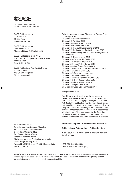

Los Angeles | London | New Delhi Singapore | Washington DC | Melbourne

SAGE Publications Ltd 1 Oliver's Yard 55 City Road London EC1Y 1SP

◈

SAGE Publications Inc. 2455 Teller Road Thousand Oaks, California 91320

SAGE Publications India Pvt Ltd B 1/I 1 Mohan Cooperative Industrial Area Mathura Road New Delhi 110 044

SAGE Publications Asia-Pacific Pte Ltd 3 Church Street #10-04 Samsung Hub Singapore 049483

Editor: Robert Rojek Editorial assistant: Catriona McMullen Production editor: Katherine Haw Copyeditor: Christine Bitten Proofreader: Lynda Watson Indexer: Charmian Parkin Marketing manager: Susheel Gokarakonda Cover design: Wendy Scott Typeset by: C&M Digitals (P) Ltd, Chennai, India Printed in the UK

Editorial Arrangement and Chapter 1 © Raquel Sosa Elízaga 2018 Chapter 2 © Saskia Sassen 2018 Chapter 3 © Ari Sitas 2018 Chapter 3 © Göran Therborn 2018 Chapter 5 © Harold Kerbo 2018 Chapter 6 © Habibul Haque Khondker 2018 Chapter 7 © Carlos Walter Porto-Gonçalves 2018 Chapter  $8 \circ$  Keng-Ming Hsu and Hsin-Huang Michael Hsiao 2018 Chapter 9 © Chizuko Ueno 2018 Chapter 10 © Susan A. McDaniel 2018 Chapter 11 © Hiroyuki Torigoe 2018 Chapter 12<sup>©</sup> Jean-Michel Bonvin 2018 Chapter 13 © Ana Esther Ceceña 2018 Chapter 14 © Sarah El Jamal and Sari Hanafi 2018 Chapter 15 © Walden Bello 2018 Chapter 16 © Edgardo Lander 2018 Chapter 17 © Grace Khunou 2018 Chapter 18 © Paulo Henrique Martins 2018 Chapter 19 © Chih-Jou Jay Chen 2018 Chapter 20 © Peter Alexander 2018 Chapter 21 © Aylin Topal 2018 Chapter 22 © José Esteban Castro 2018

First published 2018

⊕

Apart from any fair dealing for the purposes of research or private study, or criticism or review, as permitted under the Copyright, Designs and Patents Act, 1988, this publication may be reproduced, stored or transmitted in any form, or by any means, only with the prior permission in writing of the publishers, or in the case of reprographic reproduction, in accordance with the terms of licences issued by the Copyright Licensing Agency. Enquiries concerning reproduction outside those terms should be sent to the publishers.

#### **Library of Congress Control Number: 2017946093**

#### **British Library Cataloguing in Publication data**

A catalogue record for this book is available from the British Library

ISBN 978-1-5264-3556-9 ISBN 978-1-5264-3557-6 (pbk)

At SAGE we take sustainability seriously. Most of our products are printed in the UK using FSC papers and boards. When we print overseas we ensure sustainable papers are used as measured by the PREPS grading system. We undertake an annual audit to monitor our sustainability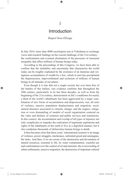⊕

## 1

# Introduction

#### *Raquel Sosa Elízaga*

In July 2014, more than 4000 sociologists met at Yokohama to exchange views and research findings on the crucial challenge of the 21st century – the confrontation and eventual elimination of the processes of structural inequality that affect millions of human beings today.

According to the proceedings of this Congress, we have been able to confirm that the instability and uncertainty that characterize the world today can be roughly explained by the existence of an immense and vertiginous accumulation of wealth by a few, which in turn has precipitated the dispossession, impoverishment and exclusion of millions of human beings in all latitudes of our planet.

Even though it is true that not a single society has ever been free of the burden of this ballast, vast evidence confirms that throughout the 20th century, particularly in its last three decades, as well as from the beginning of the 21st century, deterioration in life's conditions for nearly a third of the world's inhabitants has been aggravated by a tragic combination of new forms of accumulation and dispossession, war, all sorts of violence, massive population displacements and migration, socio/ natural disasters associated to climatic change, and the neglect, relegation or even dismantling of models of social organization centered on the value and defence of common and public services and institutions. In this context, the accumulation and overlap of all types of injustice not only complicates or impedes the realization of legitimate aspirations and rights of the inhabitants of the earth to live in a dignified manner, but it also condemns thousands of defenceless human beings to death.

It thus becomes clear that these years' international scenario is an image of violence, power struggles, intolerance, unlimited greed and unimaginable lacks. And then, if we are aware of the destruction and devastation of natural resources, essential to life, by water contamination, wasteful use and confrontation over the control of oil and minerals, the overcrowding of urban settlements, massive migration, the destruction of important cultural

◈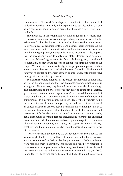⊕

resources and of the world's heritage, we cannot but be alarmed and feel obliged to contribute not only with explanations, but also with as much as we can to surmount a human crisis that threatens every living being on Earth.

The inequality in the recognition of ethnic or gender differences, preferences or orientations, access to indispensable goods and services for the existence of a dignified human life, as well as the constraints in the access to symbolic assets, generate violence and deepen social conflicts. At the same time, survival in extreme situations and war increases the exclusion of vulnerable groups and, consequently, adds to inequality. It also appears that the mechanisms used to apply new global designs, such as multilateral and bilateral agreements for free trade have greatly contributed to inequality, as they grant benefits to capital, but limit the rights of the people. When capital can move freely, while people are repressed if they attempt to do likewise, the correlation between forces is radically altered in favour of capital, and workers cease to be able to negotiate collectively; thus, greater inequality is generated.

To make an accurate diagnosis of the present phenomenon of inequality, as well as the oppression and the risks that contemporary societies face, is an urgent collective task, way beyond the scope of academic sociology. The contribution of experts, wherever they may be found (in academia, governments, civil and social organizations), is required, but above all, it is also equally urgent that we manage to listen to the voice of citizens and communities. In a certain sense, the knowledge of the difficulties being faced by millions of human beings today should lay the foundations of an ethical crusade, in order to reach a common understanding of the true, present and future meaning of sustainable life, with the restoration and prevention of further destruction of natural resources and common goods; equal distribution of wealth; respect, inclusion and tolerance for diversity; exercise of individual and collective basic rights; recognition of community and people's autonomy and rights; the respect for identity, liberty, creativity and the principle of solidarity as the basis of alternative forms of coexistence.

Aware of the risks produced by the destruction of the social fabric, the state of neglect suffered by millions of human beings that barely survive, and the magnitude of the deficiencies that prevent most of the human beings from realizing their imagination, intelligence and sensitivity potential in order to achieve an improvement in their living conditions, their families and their communities, the United Nations issued a statement in the year 2000. Supported by 147 governments, it established the Millennium Goals, which

◈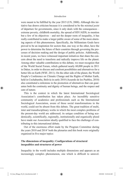⊕

were meant to be fulfilled by the year 2015 (UN, 2000). Although this initiative has drawn criticism because it is considered to be the *minimal point*  of departure for governments, since it only deals with the consequences – extreme poverty, childbirth mortality, the spread of HIV/AIDS, to mention but a few of its objectives – and not the deeper roots of inequality, it has really contributed to make a larger public aware of some of the more alarming aspects of this phenomenon. Specifically, the Millennium Goals have proved to be an inspiration for sectors that, one way or the other, have the power to determine the future of their countries through governing the processes of decision making and the design of public policies. Additionally, in recent years, we have witnessed important initiatives that share the concern about the need to transform and radically improve life on the planet. Among other valuable contributions to this debate, we must recognize that of the World Social Forum, which gathered nearly 60,000 people in 2011 in Dakar, in order to discuss and confront possibilities and alternatives for a better life on Earth (WSF, 2011). On the other side of the planet, the World People's Conference on Climatic Change and the Rights of Mother Earth, held in Cochabamba, Bolivia in early 2010 (Acuerdo de los Pueblos, 2010) also constituted a milestone in the promotion of alternatives that can guarantee both the continuity and dignity of human beings, and the respect and care of nature.

This is the context in which the latest International Sociological Association's contribution has taken place. An incredibly sensitive community of academics and professionals such as the International Sociological Association, aware of these social transformations in the world, could not be absent from this debate. The great tradition of multi, inter and transdisciplinary works in which the most complex problems of the present-day world are addressed; its unique condition of being academically, scientifically, regionally, institutionally and organically plural have made our Association ideally qualified to face the challenge of contributing to this international debate.

Out of the enormous effort made by the Program Committee during the years 2010 and 20141 both the plenaries and this book were originally organized in five major topics:

### **The dimensions of inequality: Configurations of structural inequalities and structures of power**

Inequality in the world includes multiple dimensions and appears as an increasingly complex phenomenon, one which is difficult to unravel.

◈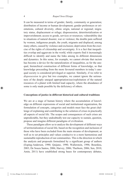⊕

It can be measured in terms of gender, family, community or generation; distribution of income or human development; gender preferences or orientations, cultural diversity, ethnic origin, national or regional; migratory status, displacement or refuge; dispossession, deterritorialization or impoverishment; access to goods, services or resources; vulnerability due to situations of natural disaster, war or violence; the double pain suffered by women, indigenous people, the youth, migrants and displaced, among many others, caused by violence and exclusion; deprivation from the exercise of the rights of citizenship and sovereignty. It is a fact that inequalities overlap and aggravate in the world, while experts find it increasingly difficult to identify and name the links among its different dimensions and dynamics. In this sense, for example, we cannot obviate that racism has become a device for the naturalization of inequalities, as for the unequal, hierarchical construction of different forms of knowledge, so that knowledge proceeding from the more favoured members in today's unequal society is considered privileged or superior. Similarly, if we refer to *dispossession* to give but two examples, we cannot ignore the seriousness of the deeply unequal appropriation/use/exploitation of the natural resources of a planet with limited load capacity, where the abundance of some is only made possible by the deficiency of others.

#### **Conceptions of justice in different historical and cultural traditions**

We are at a stage of human history where the accumulation of knowledge on different expressions of social and institutional organization, the formulation of concepts, categories and models must face the great challenge of explaining and contributing to the solution of crises in practically all aspects of social life. The scopes and consequences of such crises are unpredictable, but they undoubtedly test our capacity to sustain, question, propose and imagine different paradigms of civilization.

These paradigms allow us to analyze the development of different ways of territorialization of social life, based on the recognition and inclusion of those who have been excluded from the main streams of development; as well as to set principles and values conducive to a more harmonious and sustainable reproduction of our communities. This is the direction in which the analysis and proposals formulated by a significant group of authors (Esping-Anderson, 1990; Quijano, 1990; Wallerstein, 1996; Bourdieu, 2003; De Souza Santos, 2006; Harvey, 2006; Therborn, 2006; Sen, 2010; Amin, 2011) have established strong bases for contemporary debates,

◈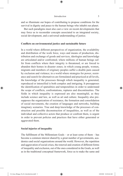⊕

and so illuminate our hopes of contributing to propose conditions for the survival in dignity and peace to the human beings who inhabit our planet.

But such paradigms must also cast a view on recent developments that may force us to reconsider concepts associated to an integrated society, social development, and a universal understanding of justice.

#### **Conflicts on environmental justice and sustainable future**

In a world where different perspectives of organization, the availability and distribution of the work force, ways and means of production, distribution and exchange of goods and services, ideologies and knowledge are articulated and/or confronted; where millions of human beings suffer from conflicts where their integrity is threatened, or are forced to abandon their homes in disaster zones; in which young people, women, migrants and members of originary peoples suffer a double pain caused by exclusion and violence; in a world where strategies for power, resistance and search for alternatives are formulated and practiced at all levels, the knowledge of the processes through which inequality is generated, reproduced or intensified is both complex and intriguing. It presupposes the identification of spatialities and temporalities in order to understand the scope of conflicts, confrontations, ruptures and discontinuities. The fields in which inequality is expressed are also meaningful, as they include science and law, as well as art and culture. Inequality also presupposes the organization of resistance, the formation and consolidation of social movements, the creation of languages and networks, building imaginary scenarios. True and deep knowledge of the processes of construction and possible deconstruction of inequalities, as well as of the individual and collective actors that produce or confront them, is urgent in order to prevent policies and practices that have either generated or aggravated them.

#### **Social injuries of inequality**

The fulfillment of the Millennium Goals – or at least some of them  $-$  has become a common interest shared by a great number of governments, academics and social organizations around the world. However, the repetition and aggravation of social crises, the renewal and creation of different forms of inequality and exclusion, out of the ones considered in the Goals, as well as in the traditional conceptual framework, force us to make the same and

◈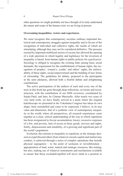⊕

other questions we might probably not have thought of to truly understand the nature and scope of the human crisis we are living at present.

#### **Overcoming inequalities: Actors and experiences**

We must recognize that contemporary societies embrace important historical and contemporary struggles against inequality and in favour of the recognition of individual and collective rights, the results of which are stimulating, although they may not be considered definitive. The pressure exerted by important mobilized sectors of society has allowed the opening of a wide spectrum in which legality and legitimacy for the reversion of inequality is based: from human rights to public policies for *equalization*. Sociology is obliged to recognize the existing links among basic social demands, the requirement for the establishment of human rights, the recognition of peoples', women's, youths' and others' rights, the enforceability of these rights, social empowerment and the building of new forms of citizenship. The guidelines for debate, proposed to the participants in the semi plenaries, allowed both a fruitful debate and enlightening contributions.

The active participation of the authors of each and every one of the texts in this book has gone through deep reflections, revisions and reconstruction, with the contribution of our SSIS reviewers, coordinated by Sujata Patel, and later, by Chaime Marcuello. After nearly two years of very hard work, we have finally arrived at a point where the original kaleidoscope we presented at the Yokohama Congress has taken its own shape, been remodelled and come to be expressed, I believe, in its true value and dimension: that of a synthetic view of contemporary inequality in the world, where all perspectives, all research experiences come together as a clear, critical understanding of the way in which capitalism has been reorganized to favour accumulation, luxury, excessive expenses of a few, and poverty, lack of access to basic goods, services and rights, frailty, dispossession and instability, of a growing and significant part of the world's population.

Exclusion, the extreme to inequality or expulsion, as the strategic decision to expel/discard others from whatever circuits capital and market may conduct, is achieved through a series of complex operations that include physical segregation – to the point of seclusion or invisibilization – appropriation of land, water, natural and strategic resources, like mining, but also, making use of whatever instruments and mechanisms available to ensure that those excluded/expelled will never stand in a position to

◈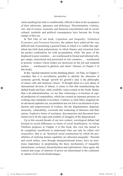⊕

claim anything but what is conditionally offered to them at the acceptance of their inferiority, ignorance and deficiency. Discrimination, violence, war, and of course, economic and financial concentration and its social, cultural, symbolic and political consequences have become the living stamps of this era.

In Part One of our book, *Capitalism and Inequality: Globalized Economies and Fractured Societies,* the authors have achieved the very difficult task of presenting a general frame in which it is visible that capitalism has built deep polarizations, in which finance and extraction form the perfect combination for wild accumulation, while 'the poor, of the displaced in poor countries ... are warehoused in formal and informal refugee camps; minoritized and persecuted in rich countries, … warehoused in prisons; workers whose bodies are destroyed on the job and rendered useless, … warehoused in ghettoes and slums' (Sassen, in Chapter 2 of this book).

In this 'epochal transition on this shrinking planet', Ari Sitas, in Chapter 3, considers that it is nevertheless possible to identify the obsession of economic growth, though 'growth for growth's sake is the philosophy of cancer cells and mutinous viruses'. If thought about as a new phase of international division of labour, it seems to him that manufacturing has shifted South and East, while symbolic values remain in the North. Rather than a de-industrialization, we are thus witnessing a re-location of capital production of commodities, which has exerted an immense pressure on working class standards everywhere. Contrary to what Marx imagined for an advanced capitalist era, accumulation has not led to socialization of production and empowerment of workers, but the fragmentation, dispersal, insecurity, vulnerability, overwork and weakening of labourers and their unions. Explosive forms of resistance, disconnection and discontent have turned out to be the signs and symbols of struggles of the dispossessed.

Up to this second decade of our new century, sociological debate had focused on social differences as forms of social stratification. As Göran Therborn proposes in Chapter 4 of this book, this view has turned to be completely insufficient to understand what can only be called *vital inequalities*, that is, an 'historical social construction by which the possibilities of realizing human capability are allocated unequally'. Parental and social milieu, seen through intergenerational lenses, have an enormous importance in perpetuating the basic mechanisms of inequality (detachment, exclusion, hierarchization and exploitation). Once again, the content and scope of relations of power are determinant in the continuity or rupture of all social disadvantages.

◈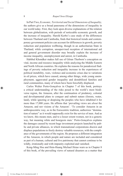⊕

In Part Two, *Economic, Territorial and Social Dimensions of Inequality,*  the authors give us a broad panorama of the dimensions of inequality in our world today. First, they look upon diverse explanations of the relation between globalization, with periods of noticeable economic growth, and the increase of inequality. Harold Kerbo's case study of the differences between Thailand and Cambodia, finds that historical trends and contemporary government policies can account for differences in growth, poverty reduction and population wellbeing, though in an authoritarian State in Thailand; while corruption, unsupervised reception of international aid and general government disorder may broadly explain the increase of income inequality, unemployment and unrest, in Cambodia.

Habibul Khondker makes full use of Göran Therborn's conception on vital, income and resource inequality while analyzing the Middle Eastern and North African countries. He explains the reasons for paradoxical findings of poverty reduction and inequality increase in the experiences of political instability, wars, violence and economic crises due to variations in oil prices, which have caused, among other things, wide young unemployment, aggravated gender inequality and destabilized families and rural communities, many of whom have been forcefully displaced.

Carlos Walter Porto-Gonçalves in Chapter 7 of this book, portrays a critical understanding of the risks posed to the world's most biodiverse region, the Amazon, after the continuation of predatory, colonial and developmental plans to conquer and submit nature (forests, water, land), while ignoring or despising the peoples who have inhabited it for more than 17,000 years. He affirms that 'prevailing views are *about* the Amazon, and not visions *of* the Amazon'. 'To consider Amazon in an anthropocentric way, as in the Eurocentric tradition, authorizes "domination of nature" as it would supposedly exist for the service of men. And as we know, this means men, and to a lesser extent women, not in a generic way, but meaning white and bourgeois men.' Porto-Gonçalves explains the damages caused by recent huge investment projects launched by public and private alliances, in which transnational corporations disown and displace populations to freely destroy valuable resources, with the compliance of the governments of the region. He proposes a different integration of the Amazon, in which people and nature are included and considered as part of a human, cultural and live patrimony that cannot continue to be wildly, irrationally and with impunity exploited and vanished.

Keng-Ming Hsu and Hsin-Huang Michael Hsiao warn us in Chapter 8 of this book, of the prevailing views of natural disasters as a matter that

01\_Sosa\_Elizaga\_Ch\_01\_Introduction.indd 8 2/8/2018 10:10:44 AM

◈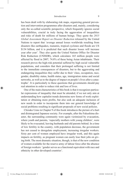⊕

has been dealt with by elaborating risk maps, organizing general prevention and intervention programmes after disasters and, mainly, considering only the so-called scientific perspective, which frequently ignores social vulnerabilities, crucial in truly facing the aggravation of inequalities and risks of death for millions of human beings. They quote the *2015 Global Assessment Report on Disaster Reduction* released by the United Nations to report that 'average annual losses worldwide resulting from disasters like earthquakes, tsunamis, tropical cyclones and floods are US \$134 billion, and it is predicted that such disaster losses will increase year after year'. They also quote the United Nations Office for Disaster Risk Reduction (UNISDR), which calculates 165 million people were affected by flood in 2007, 74.8% of these being Asian inhabitants. Their research proves the high-risk potential suffered by high social vulnerable populations, and considers that their prolonged suffering is not limited to the immediate consequences of disasters, but to the aggravating and endangering inequalities they suffer due to their 'class, occupation, race, gender, disability status, health status, age, immigration status and social networks, as well as to the degree of impact on people's lives after a catastrophe'. It is particularly to these questions that governments should pay real attention in order to reduce risk and loss of lives.

One of the main characteristics of this book is that it recognizes particular expressions of inequality that must be attended, if we not only aim at understanding how capitalist trends determine new forms of work exploitation or obtaining more profits, but also seek an adequate inclusion of new needs in order to incorporate them into our general knowledge of social problems resulting in significant proposals of new social policies.

Chizuko Ueno in Chapter 9 of this book introduces the picture of a hurt and disintegrated Japanese society. For example, after the Fukushima disaster, the surrounding community were again victimized by evacuation, where youth and parents, 'especially mothers with young children', were likely to be evacuated, leaving husbands and old parents behind. In a time of low fertility in the country, with population decrease, the government has not ceased to deregulate employment, increasing irregular workers. Sixty per cent of women employed have irregular work, and this again impacts on fertility, as pregnant women can easily lose their jobs on giving birth. The most dramatic situation, though, is that of the new condition of women available for the reserve army of labour force after the absence of foreign workers: 'gender serves as a functional equivalent with race and ethnicity in other developed countries'.

◈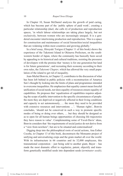⊕

In Chapter 10, Susan McDaniel analyzes the growth of paid caring, which has become part of the 'public sphere of paid work', creating a particular relationship (duel, she calls it) of production and reproduction spaces, 'in which labour relationships are taking place largely, but not exclusively, between women who are increasingly unequal. It is a gendered encounter intertwining production and reproduction. This is a space for construction and maintenance of social hierarchies/social inequalities that are widening within most countries and growing globally.'

In a brief essay, Hiroyuki Torigoe (Chapter 11 of this book) shows the experience of the Taketomi Island in Okinawa Prefecture, on the southwestern border of Japan, where the community has basically been saved by appealing to its historical and cultural traditions, resisting the pressures of developers with the premise that 'money is for one generation but land is for future generations', and recreating their economy according to their own rules, the *Taketomi Chapter*, which has allowed the very small population of the island to get rid of inequality.

Jean-Michel Bonvin, in Chapter 12, contributes to the discussion of what has been left behind in public policies with a reconstruction of Amartya Sen's thought by looking into the limits of plans and programmes intended to overcome inequalities. He emphasizes that equality cannot mean forceful unification of social needs, nor does equality of resources ensure equality of capabilities. He proposes that 'equalization of capabilities requires adjusting the scope of public intervention to the specific circumstances of people: the more they are deprived or negatively affected in their living conditions and capacity to act autonomously, … the more they need to be provided with extensive resources and interventions …'. 'Human rights', Bonvin concludes, 'should not be conceived in such a way to promote specific modes of being or doing over others, … but they should be designed so as to open for all human beings opportunities of choosing life trajectories they have reason to value'. Complementing some of Yuval-Davis' ideas, Bonvin considers that 'the requirements of social justice do not derive from a "view from nowhere", but are to be situated and contextualized'.

Digging deep into the philosophical roots of social actions, Ana Esther Ceceña, in Chapter 13 of this book, deconstructs the Monsanto project of unifying and universalizing crops and the grain market all over the world. With its infrastructure in 66 countries and its 32,000 employees, this transnational corporation – just being sold to another giant, Bayer – has made the most dramatic effort to regularize, patent, objectify and transform genetically modified seeds into dependent seeds (*terminator seeds*).

◈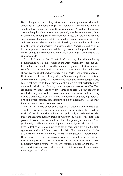⊕

By breaking up and preventing natural interaction in agriculture, Monsanto deconstructs social relationships and hierarchies, establishing them as simple subject–object relations. Ceceña stipulates, 'A voiding of concrete, distinct, inequiparable substance is operated, in order to place everything in conditions of comparison and exchangeability. Universal, abstract and epistemologically commited to the modern vision referents are built, and they prevent the recognition of diversity, while tending to displace it to the level of abnormality or insufficiency.' Dramatic image of what has been proposed as a universal, homogeneous, exchangeable world of human beings and commodities in a world increasingly dominated by the enterprise order.

Sarah El Jamal and Sari Hanafi, in Chapter 14, close this section by demonstrating that social studies in the Arab region have become unified and a closed circle, basically dominated by closed clusters in which very few authors are forced to consider and cite one another, and where almost every one of them has worked in the World Bank's research teams. Unfortunately, the lack of originality, of the opening of new trends is an extremely delicate question – overcoming inequality and reducing poverty has sometimes led to the aggravation of a problem that certainly needs more and critical views. In a way, these two papers that close our Part Two are extremely significant: they have dared to be critical about the way in which diversity has not been considered in certain social studies, giving way to a presumed, arbitrary, forced homogeneity, and not, to problematize and enrich, situate, contextualize and find alternatives to the most important social problems in our world.

Finally, Part Three of our book, *Reforms*, *Resistance and Alternatives: New Ways Towards Social Justice* begins by presenting the insightful works of the distinguished scholars and politically experienced Walden Bello and Edgardo Lander. Bello, in Chapter 15, explores the limits and possibilities of reforms within the neoliberal hegemony in Southeast Asia, particularly Thailand and the Philippines. He analyzes risks and alternatives in dealing with reforms such as health care, agriculture and the fight against corruption. All these involve the risk of intervention of manipulative threatened elites who will try to derail all progressive transformations. He values even the minimal steps forward in the worst scenarios, but puts forward the proposal of the combination of both representative and direct democracy, with a strong civil society, vigilance in parliament and constant participation as counterbalances to the intervention of conservative forces against all reforms.

◈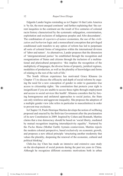⊕

Edgardo Lander begins reminding us in Chapter 16 that Latin America is 'by far, the most unequal continent' and further explaining that 'the current inequities in the continent are the result of five centuries of colonial racist history characterized by the systematic subjugation, extermination, exploitation and exclusion of indigenous peoples and Afro-descendants'. The combination of *exporters-of-nature* economies, the use of the *civilization and barbarism* logic and a monocultural conception that privileged conditioned cash transfers to any option of reform has led to perpetuate all sorts of colonial forms of integration within the international division of 'labor and nature'. As alternatives, Lander proposes that the dimension of 'intergenerational justice' be established through the recognition and reorganization of States and citizens through the inclusion of a multinational and pluricultural perspective: 'this implies the recognition of the multiplicity of languages, the diverse forms of property, juridical regimes, modalities of production, as well as the plurality of knowledges and forms of relating to the rest of the web of life.'

The South African experience has motivated Grace Khunou (in Chapter 17) to discuss the efficacity and depth of social reforms by arguing the need for a new conception of gender in order to guarantee true access to citizenship rights: 'the constitution that protects your right is insignificant if you are unable to access these rights through employment and access to social services like health'. Khunou considers that by forcing homogeneous and unilateral approaches to social justice, the State can only reinforce and aggravate inequality. She proposes the adoption of a multiple gender view (she refers in particular to masculinities) in order to prevent true exclusion.

In Chapter 18, Paulo Henrique Martins develops the notion of wellbeing proposed and enacted by the Bolivian Government after the proclamation of its new Constitution in 2009. Inspired by Cohen and Honnuth, Martins claims that a true democracy should be based on 'social liberty, mediated by mutual recognition inspiring intersubjectivity equality'. Nurtured by the *Pacha Mama* (Mother Earth) Aymara cosmovision, Martins rejects the modern colonial perspective, based exclusively on economic growth, and proposes a new ethical principle 'structuring another modernity that values the plurality, deepening the renewal of the economic, cultural and political thinking'.

Chih-Jou Jay Chen has made an intensive and extensive case study on the development of social protests during the past ten years in China. Although he recognizes different economic motivations both in urban

◈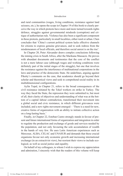⊕

and rural communities (wages, living conditions, resistance against land seizures, etc.), he opens the scope in Chapter 19 of this book to clearly perceive the way in which protests have more and more turned towards rights defence, struggles against governmental misdeeds (corruption) and critique of authoritarian rule. Violence has also been a significant component in these protests, particularly in small localities, either rural or urban. Chen concludes that 'China's current political system lacks effective channels for citizens to express genuine grievances, and to seek redress from the misdemeanors of local officials, and therefore social unrest is on the rise'.

In Chapter 20, Peter Alexander draws complex conclusions following the mining crisis in South Africa, after the Marikana Massacre. He proves with abundant documents and testimonies that the core of the conflict is not a mere labour case (although wages and working conditions were definitely part of the initial stages of the struggle), but one that involves the resistance against the interference of multinational corporations in the laws and practice of the democratic State. He underlines, arguing against Piketty's comments on the case, that academics should go beyond their scholar and theoretical views and seek to comprehend social reality in its multidimensional configurations.

Aylin Topal, in Chapter 21, refers to the broad consequences of the civil resistance initiated by the Tekel workers on strike in Turkey. The way they faced the State, the repression they were submitted to, but most of all, their clarity of objectives and understanding of what was at the bottom of a capital–labour contradiction, transformed their movement into a global social and civic resistance, in which different grievances were included, and a new rights movement emerged – 'There is a need for new, creative forms of organization with an ability to initiate collective action on a long-lasting basis.'

Finally, in Chapter 22, Esteban Castro strongly stands in favour of present and future international forms of organization and integration in order to regulate the production and exchange of goods and services needed by the population, and not only favouring the sole accumulation of wealth in the hands of very few. He uses Latin American experiences such as Mercosur, ALBA, CELAC and UNASUR and demands that these crucial organisms favour not only economic growth and increasing international exchange (in an extractivist view), but reorient their views to include ecological, as well as social justice and equality.

On behalf of my colleagues, to whom I wish to express my appreciation and admiration, I sincerely wish that the readers of this volume will keep

◈